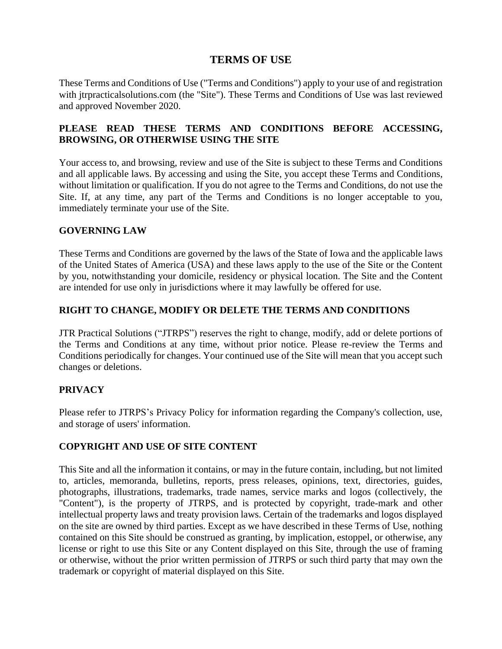# **TERMS OF USE**

These Terms and Conditions of Use ("Terms and Conditions") apply to your use of and registration with jtrpracticalsolutions.com (the "Site"). These Terms and Conditions of Use was last reviewed and approved November 2020.

## **PLEASE READ THESE TERMS AND CONDITIONS BEFORE ACCESSING, BROWSING, OR OTHERWISE USING THE SITE**

Your access to, and browsing, review and use of the Site is subject to these Terms and Conditions and all applicable laws. By accessing and using the Site, you accept these Terms and Conditions, without limitation or qualification. If you do not agree to the Terms and Conditions, do not use the Site. If, at any time, any part of the Terms and Conditions is no longer acceptable to you, immediately terminate your use of the Site.

#### **GOVERNING LAW**

These Terms and Conditions are governed by the laws of the State of Iowa and the applicable laws of the United States of America (USA) and these laws apply to the use of the Site or the Content by you, notwithstanding your domicile, residency or physical location. The Site and the Content are intended for use only in jurisdictions where it may lawfully be offered for use.

## **RIGHT TO CHANGE, MODIFY OR DELETE THE TERMS AND CONDITIONS**

JTR Practical Solutions ("JTRPS") reserves the right to change, modify, add or delete portions of the Terms and Conditions at any time, without prior notice. Please re-review the Terms and Conditions periodically for changes. Your continued use of the Site will mean that you accept such changes or deletions.

## **PRIVACY**

Please refer to JTRPS's Privacy Policy for information regarding the Company's collection, use, and storage of users' information.

## **COPYRIGHT AND USE OF SITE CONTENT**

This Site and all the information it contains, or may in the future contain, including, but not limited to, articles, memoranda, bulletins, reports, press releases, opinions, text, directories, guides, photographs, illustrations, trademarks, trade names, service marks and logos (collectively, the "Content"), is the property of JTRPS, and is protected by copyright, trade-mark and other intellectual property laws and treaty provision laws. Certain of the trademarks and logos displayed on the site are owned by third parties. Except as we have described in these Terms of Use, nothing contained on this Site should be construed as granting, by implication, estoppel, or otherwise, any license or right to use this Site or any Content displayed on this Site, through the use of framing or otherwise, without the prior written permission of JTRPS or such third party that may own the trademark or copyright of material displayed on this Site.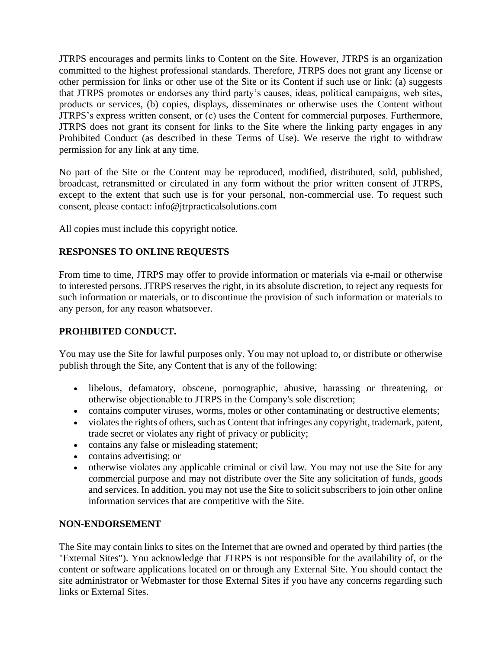JTRPS encourages and permits links to Content on the Site. However, JTRPS is an organization committed to the highest professional standards. Therefore, JTRPS does not grant any license or other permission for links or other use of the Site or its Content if such use or link: (a) suggests that JTRPS promotes or endorses any third party's causes, ideas, political campaigns, web sites, products or services, (b) copies, displays, disseminates or otherwise uses the Content without JTRPS's express written consent, or (c) uses the Content for commercial purposes. Furthermore, JTRPS does not grant its consent for links to the Site where the linking party engages in any Prohibited Conduct (as described in these Terms of Use). We reserve the right to withdraw permission for any link at any time.

No part of the Site or the Content may be reproduced, modified, distributed, sold, published, broadcast, retransmitted or circulated in any form without the prior written consent of JTRPS, except to the extent that such use is for your personal, non-commercial use. To request such consent, please contact: [info@jtrpracticalsolutions.com](mailto:info@jtrpracticalsolutions.com)

All copies must include this copyright notice.

## **RESPONSES TO ONLINE REQUESTS**

From time to time, JTRPS may offer to provide information or materials via e-mail or otherwise to interested persons. JTRPS reserves the right, in its absolute discretion, to reject any requests for such information or materials, or to discontinue the provision of such information or materials to any person, for any reason whatsoever.

# **PROHIBITED CONDUCT.**

You may use the Site for lawful purposes only. You may not upload to, or distribute or otherwise publish through the Site, any Content that is any of the following:

- libelous, defamatory, obscene, pornographic, abusive, harassing or threatening, or otherwise objectionable to JTRPS in the Company's sole discretion;
- contains computer viruses, worms, moles or other contaminating or destructive elements;
- violates the rights of others, such as Content that infringes any copyright, trademark, patent, trade secret or violates any right of privacy or publicity;
- contains any false or misleading statement;
- contains advertising; or
- otherwise violates any applicable criminal or civil law. You may not use the Site for any commercial purpose and may not distribute over the Site any solicitation of funds, goods and services. In addition, you may not use the Site to solicit subscribers to join other online information services that are competitive with the Site.

#### **NON-ENDORSEMENT**

The Site may contain links to sites on the Internet that are owned and operated by third parties (the "External Sites"). You acknowledge that JTRPS is not responsible for the availability of, or the content or software applications located on or through any External Site. You should contact the site administrator or Webmaster for those External Sites if you have any concerns regarding such links or External Sites.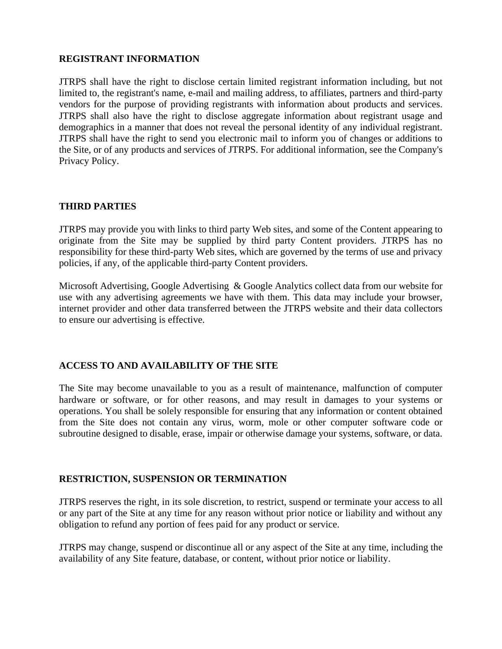#### **REGISTRANT INFORMATION**

JTRPS shall have the right to disclose certain limited registrant information including, but not limited to, the registrant's name, e-mail and mailing address, to affiliates, partners and third-party vendors for the purpose of providing registrants with information about products and services. JTRPS shall also have the right to disclose aggregate information about registrant usage and demographics in a manner that does not reveal the personal identity of any individual registrant. JTRPS shall have the right to send you electronic mail to inform you of changes or additions to the Site, or of any products and services of JTRPS. For additional information, see the Company's Privacy Policy.

#### **THIRD PARTIES**

JTRPS may provide you with links to third party Web sites, and some of the Content appearing to originate from the Site may be supplied by third party Content providers. JTRPS has no responsibility for these third-party Web sites, which are governed by the terms of use and privacy policies, if any, of the applicable third-party Content providers.

Microsoft Advertising, Google Advertising & Google Analytics collect data from our website for use with any advertising agreements we have with them. This data may include your browser, internet provider and other data transferred between the JTRPS website and their data collectors to ensure our advertising is effective.

## **ACCESS TO AND AVAILABILITY OF THE SITE**

The Site may become unavailable to you as a result of maintenance, malfunction of computer hardware or software, or for other reasons, and may result in damages to your systems or operations. You shall be solely responsible for ensuring that any information or content obtained from the Site does not contain any virus, worm, mole or other computer software code or subroutine designed to disable, erase, impair or otherwise damage your systems, software, or data.

#### **RESTRICTION, SUSPENSION OR TERMINATION**

JTRPS reserves the right, in its sole discretion, to restrict, suspend or terminate your access to all or any part of the Site at any time for any reason without prior notice or liability and without any obligation to refund any portion of fees paid for any product or service.

JTRPS may change, suspend or discontinue all or any aspect of the Site at any time, including the availability of any Site feature, database, or content, without prior notice or liability.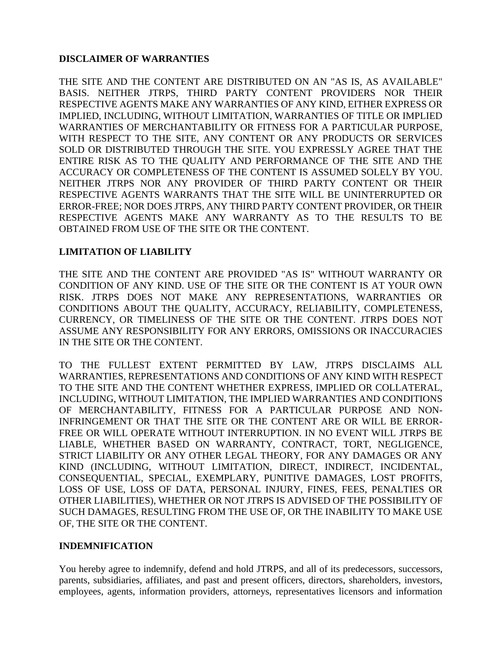### **DISCLAIMER OF WARRANTIES**

THE SITE AND THE CONTENT ARE DISTRIBUTED ON AN "AS IS, AS AVAILABLE" BASIS. NEITHER JTRPS, THIRD PARTY CONTENT PROVIDERS NOR THEIR RESPECTIVE AGENTS MAKE ANY WARRANTIES OF ANY KIND, EITHER EXPRESS OR IMPLIED, INCLUDING, WITHOUT LIMITATION, WARRANTIES OF TITLE OR IMPLIED WARRANTIES OF MERCHANTABILITY OR FITNESS FOR A PARTICULAR PURPOSE, WITH RESPECT TO THE SITE, ANY CONTENT OR ANY PRODUCTS OR SERVICES SOLD OR DISTRIBUTED THROUGH THE SITE. YOU EXPRESSLY AGREE THAT THE ENTIRE RISK AS TO THE QUALITY AND PERFORMANCE OF THE SITE AND THE ACCURACY OR COMPLETENESS OF THE CONTENT IS ASSUMED SOLELY BY YOU. NEITHER JTRPS NOR ANY PROVIDER OF THIRD PARTY CONTENT OR THEIR RESPECTIVE AGENTS WARRANTS THAT THE SITE WILL BE UNINTERRUPTED OR ERROR-FREE; NOR DOES JTRPS, ANY THIRD PARTY CONTENT PROVIDER, OR THEIR RESPECTIVE AGENTS MAKE ANY WARRANTY AS TO THE RESULTS TO BE OBTAINED FROM USE OF THE SITE OR THE CONTENT.

#### **LIMITATION OF LIABILITY**

THE SITE AND THE CONTENT ARE PROVIDED "AS IS" WITHOUT WARRANTY OR CONDITION OF ANY KIND. USE OF THE SITE OR THE CONTENT IS AT YOUR OWN RISK. JTRPS DOES NOT MAKE ANY REPRESENTATIONS, WARRANTIES OR CONDITIONS ABOUT THE QUALITY, ACCURACY, RELIABILITY, COMPLETENESS, CURRENCY, OR TIMELINESS OF THE SITE OR THE CONTENT. JTRPS DOES NOT ASSUME ANY RESPONSIBILITY FOR ANY ERRORS, OMISSIONS OR INACCURACIES IN THE SITE OR THE CONTENT.

TO THE FULLEST EXTENT PERMITTED BY LAW, JTRPS DISCLAIMS ALL WARRANTIES, REPRESENTATIONS AND CONDITIONS OF ANY KIND WITH RESPECT TO THE SITE AND THE CONTENT WHETHER EXPRESS, IMPLIED OR COLLATERAL, INCLUDING, WITHOUT LIMITATION, THE IMPLIED WARRANTIES AND CONDITIONS OF MERCHANTABILITY, FITNESS FOR A PARTICULAR PURPOSE AND NON-INFRINGEMENT OR THAT THE SITE OR THE CONTENT ARE OR WILL BE ERROR-FREE OR WILL OPERATE WITHOUT INTERRUPTION. IN NO EVENT WILL JTRPS BE LIABLE, WHETHER BASED ON WARRANTY, CONTRACT, TORT, NEGLIGENCE, STRICT LIABILITY OR ANY OTHER LEGAL THEORY, FOR ANY DAMAGES OR ANY KIND (INCLUDING, WITHOUT LIMITATION, DIRECT, INDIRECT, INCIDENTAL, CONSEQUENTIAL, SPECIAL, EXEMPLARY, PUNITIVE DAMAGES, LOST PROFITS, LOSS OF USE, LOSS OF DATA, PERSONAL INJURY, FINES, FEES, PENALTIES OR OTHER LIABILITIES), WHETHER OR NOT JTRPS IS ADVISED OF THE POSSIBILITY OF SUCH DAMAGES, RESULTING FROM THE USE OF, OR THE INABILITY TO MAKE USE OF, THE SITE OR THE CONTENT.

#### **INDEMNIFICATION**

You hereby agree to indemnify, defend and hold JTRPS, and all of its predecessors, successors, parents, subsidiaries, affiliates, and past and present officers, directors, shareholders, investors, employees, agents, information providers, attorneys, representatives licensors and information